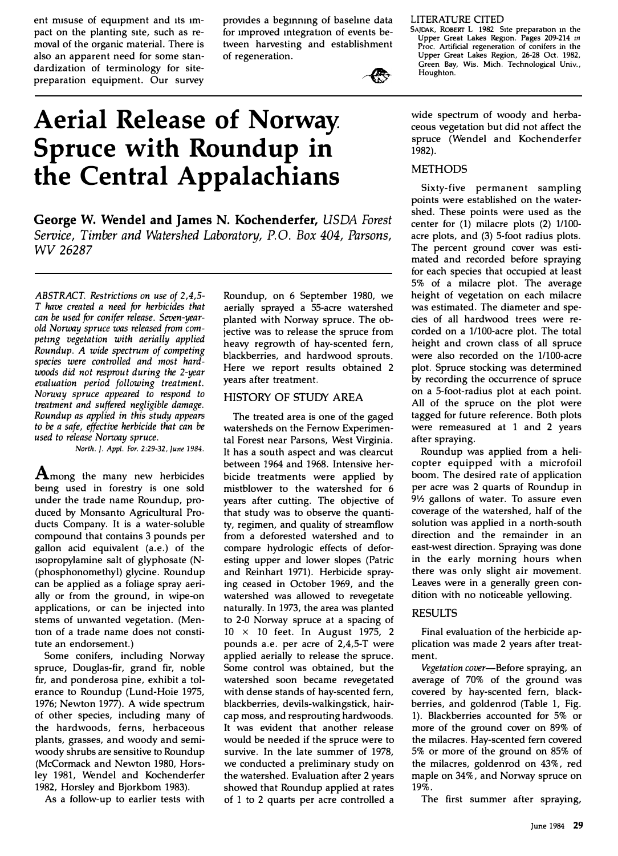ent misuse of equipment and its impact on the planting site, such as removal of the organic material. There is also an apparent need for some standardization of terminology for sitepreparation equipment. Our survey

provides a beginning of baseline data for improved integration of events between harvesting and establishment of regeneration.



# **Aerial Release of Norway Spruce with Roundup in the Central Appalachians**

**George W. Wendel and James N. Kochenderfer,** *USDA Forest Service, Timber and Watershed Laboratory, P.O. Box 404, Parsons, WV 26287* 

*ABSTRACT. Restrictions on use of 2,4,5- T have created a need for herbicides that can be used for conifer release. Seven-yearold Norway spruce was released from competing vegetation with aerially applied Roundup. A wide spectrum of competing species were controlled and most hardwoods did not resprout during the 2-year evaluation period following treatment. Norway spruce appeared to respond to treatment and suffered negligible damage. Roundup as applied in this study appears to be a safe, effective herbicide that can be used to release Norway spruce.* 

*North.]. Appl. For. 2:29-32, June 1984.* 

**Among** the many new herbicides bemg used in forestry is one sold under the trade name Roundup, produced by Monsanto Agricultural Products Company. It is a water-soluble compound that contains 3 pounds per gallon acid equivalent (a.e.) of the 1sopropylamine salt of glyphosate (N (phosphonomethyl) glycine. Roundup can be applied as a foliage spray aerially or from the ground, in wipe-on applications, or can be injected into stems of unwanted vegetation. (Mention of a trade name does not constitute an endorsement.)

Some conifers, including Norway spruce, Douglas-fir, grand fir, noble fir, and ponderosa pine, exhibit a tolerance to Roundup (Lund-Hoie 1975, 1976; Newton 1977). A wide spectrum of other species, including many of the hardwoods, ferns, herbaceous plants, grasses, and woody and semiwoody shrubs are sensitive to Roundup (McCormack and Newton 1980, Horsley 1981, Wendel and Kochenderfer 1982, Horsley and Bjorkbom 1983).

As a follow-up to earlier tests with

Roundup, on 6 September 1980, we aerially sprayed a 55-acre watershed planted with Norway spruce. The objective was to release the spruce from heavy regrowth of hay-scented fern, blackberries, and hardwood sprouts. Here we report results obtained 2 years after treatment.

#### HISTORY OF STUDY AREA

The treated area is one of the gaged watersheds on the Fernow Experimental Forest near Parsons, West Virginia. It has a south aspect and was clearcut between 1964 and 1968. Intensive herbicide treatments were applied by mistblower to the watershed for 6 years after cutting. The objective of that study was to observe the quantity, regimen, and quality of streamflow from a deforested watershed and to compare hydrologic effects of deforesting upper and lower slopes (Patric and Reinhart 1971). Herbicide spraying ceased in October 1969, and the watershed was allowed to revegetate naturally. In 1973, the area was planted to 2-0 Norway spruce at a spacing of 10 x 10 feet. In August 1975, 2 pounds a.e. per acre of 2,4,5-T were applied aerially to release the spruce. Some control was obtained, but the watershed soon became revegetated with dense stands of hay-scented fern, blackberries, devils-walkingstick, haircap moss, and resprouting hardwoods. It was evident that another release would be needed if the spruce were to survive. In the late summer of 1978, we conducted a preliminary study on the watershed. Evaluation after 2 years showed that Roundup applied at rates of 1 to 2 quarts per acre controlled a LITERATURE CITED

SAJDAK, ROBERT L 1982 Site preparation in the<br>Upper Great Lakes Region. Pages 209-214 *m* Proc. Artificial regeneration of conifers in the Upper Great Lakes Region, 26-28 Oct. 1982, Green Bay, Wis. Mich. Technological Univ., Houghton.

wide spectrum of woody and herbaceous vegetation but did not affect the spruce (Wendel and Kochenderfer 1982).

#### METHODS

Sixty-five permanent sampling points were established on the watershed. These points were used as the center for (1) milacre plots (2) 1/100 acre plots, and (3) 5-foot radius plots. The percent ground cover was estimated and recorded before spraying for each species that occupied at least 5% of a milacre plot. The average height of vegetation on each milacre was estimated. The diameter and species of all hardwood trees were recorded on a 1/100-acre plot. The total height and crown class of all spruce were also recorded on the 1/100-acre plot. Spruce stocking was determined by recording the occurrence of spruce on a 5-foot-radius plot at each point. All of the spruce on the plot were tagged for future reference. Both plots were remeasured at 1 and 2 years after spraying.

Roundup was applied from a helicopter equipped with a microfoil boom. The desired rate of application per acre was 2 quarts of Roundup in 9½ gallons of water. To assure even coverage of the watershed, half of the solution was applied in a north-south direction and the remainder in an east-west direction. Spraying was done in the early morning hours when there was only slight air movement. Leaves were in a generally green condition with no noticeable yellowing.

#### RESULTS

Final evaluation of the herbicide application was made 2 years after treatment.

*Vegetation cover-Before* spraying, an average of 70% of the ground was covered by hay-scented fern, blackberries, and goldenrod (Table 1, Fig. 1). Blackberries accounted for 5% or more of the ground cover on 89% of the milacres. Hay-scented fern covered 5% or more of the ground on 85% of the milacres, goldenrod on 43%, red maple on 34%, and Norway spruce on 19%.

The first summer after spraying,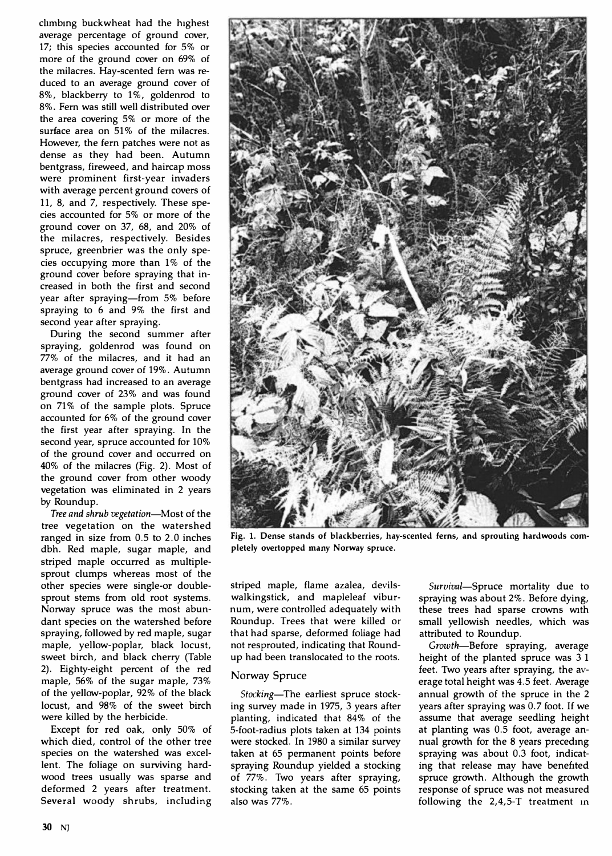climbing buckwheat had the highest average percentage of ground cover, 17; this species accounted for 5% or more of the ground cover on 69% of the milacres. Hay-scented fern was reduced to an average ground cover of 8%, blackberry to 1%, goldenrod to 8%. Fern was still well distributed over the area covering 5% or more of the surface area on 51% of the milacres. However, the fern patches were not as dense as they had been. Autumn bentgrass, fireweed, and haircap moss were prominent first-year invaders with average percent ground covers of 11, 8, and 7, respectively. These species accounted for 5% or more of the ground cover on 37, 68, and 20% of the milacres, respectively. Besides spruce, greenbrier was the only species occupying more than 1% of the ground cover before spraying that increased in both the first and second year after spraying-from 5% before spraying to 6 and 9% the first and second year after spraying.

During the second summer after spraying, goldenrod was found on 77% of the milacres, and it had an average ground cover of 19%. Autumn bentgrass had increased to an average ground cover of 23% and was found on 71% of the sample plots. Spruce accounted for 6% of the ground cover the first year after spraying. In the second year, spruce accounted for 10% of the ground cover and occurred on 40% of the milacres (Fig. 2). Most of the ground cover from other woody vegetation was eliminated in 2 years by Roundup.

*Tree and shrub vegetation-Most* of the tree vegetation on the watershed ranged in size from 0.5 to 2.0 inches dbh. Red maple, sugar maple, and striped maple occurred as multiplesprout clumps whereas most of the other species were single-or doublesprout stems from old root systems. Norway spruce was the most abundant species on the watershed before spraying, followed by red maple, sugar maple, yellow-poplar, black locust, sweet birch, and black cherry (Table 2). Eighty-eight percent of the red maple, 56% of the sugar maple, 73% of the yellow-poplar, 92% of the black locust, and 98% of the sweet birch were killed by the herbicide.

Except for red oak, only 50% of which died, control of the other tree species on the watershed was excellent. The foliage on surviving hardwood trees usually was sparse and deformed 2 years after treatment. Several woody shrubs, including



**Fig. 1. Dense stands of blackberries, hay-scented ferns, and sprouting hardwoods completely overtopped many Norway spruce.** 

striped maple, flame azalea, devilswalkingstick, and mapleleaf viburnum, were controlled adequately with Roundup. Trees that were killed or that had sparse, deformed foliage had not resprouted, indicating that Roundup had been translocated to the roots.

#### Norway Spruce

*Stocking-The* earliest spruce stocking survey made in 1975, 3 years after planting, indicated that 84% of the 5-foot-radius plots taken at 134 points were stocked. In 1980 a similar survey taken at 65 permanent points before spraying Roundup yielded a stocking of 77%. Two years after spraying, stocking taken at the same 65 points also was 77%.

*Survival-Spruce* mortality due to spraying was about 2%. Before dying, these trees had sparse crowns with small yellowish needles, which was attributed to Roundup.

*Growth-Before* spraying, average height of the planted spruce was 3 1 feet. Two years after spraying, the average total height was 4.5 feet. Average annual growth of the spruce in the 2 years after spraying was 0.7 foot. If we assume that average seedling height at planting was 0.5 foot, average annual growth for the 8 years preceding spraying was about 0.3 foot, indicating that release may have benefited spruce growth. Although the growth response of spruce was not measured following the  $2,4,5$ -T treatment in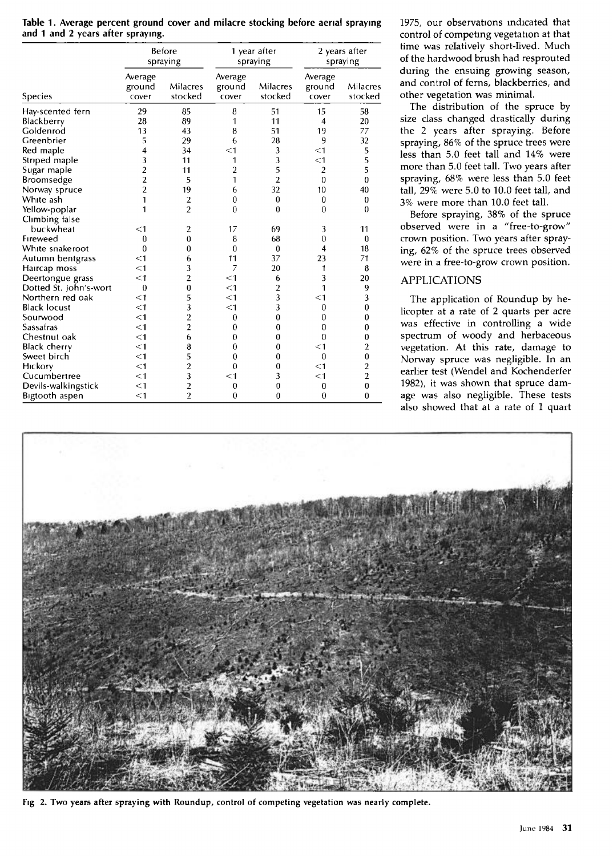|                        | Before<br>spraying         |                         | 1 year after<br>spraying   |                     | 2 years after<br>spraying  |                     |
|------------------------|----------------------------|-------------------------|----------------------------|---------------------|----------------------------|---------------------|
| Species                | Average<br>ground<br>cover | Milacres<br>stocked     | Average<br>ground<br>cover | Milacres<br>stocked | Average<br>ground<br>cover | Milacres<br>stocked |
| Hay-scented fern       | 29                         | 85                      | 8                          | 51                  | 15                         | 58                  |
| Blackberry             | 28                         | 89                      | 1                          | 11                  | $\overline{4}$             | 20                  |
| Goldenrod              | 13                         | 43                      | 8                          | 51                  | 19                         | 77                  |
| Greenbrier             | 5                          | 29                      | 6                          | 28                  | 9                          | 32                  |
| Red maple              | $\overline{4}$             | 34                      | $\leq$ 1                   | 3                   | $<$ 1                      | 5                   |
| Striped maple          | 3                          | 11                      | 1                          | 3                   | $<$ 1                      | 5                   |
| Sugar maple            | $\overline{2}$             | 11                      | $\overline{2}$             | 5                   | $\overline{2}$             | 5                   |
| Broomsedge             | 2                          | 5                       | 1                          | $\overline{2}$      | $\overline{0}$             | $\mathbf 0$         |
| Norway spruce          | $\overline{2}$             | 19                      | 6                          | 32                  | 10                         | 40                  |
| White ash              | 1                          | $\overline{\mathbf{2}}$ | $\bf{0}$                   | $\bf{0}$            | 0                          | $\bf{0}$            |
| Yellow-poplar          | 1                          | $\overline{2}$          | $\theta$                   | 0                   | 0                          | $\theta$            |
| Climbing false         |                            |                         |                            |                     |                            |                     |
| buckwheat              | $<$ 1                      | $\overline{2}$          | 17                         | 69                  | 3                          | 11                  |
| Fireweed               | $\bf{0}$                   | 0                       | 8                          | 68                  | 0                          | $\bf{0}$            |
| White snakeroot        | $\overline{0}$             | $\overline{0}$          | $\overline{0}$             | $\bf{0}$            | 4                          | 18                  |
| Autumn bentgrass       | $<$ 1                      | 6                       | 11                         | 37                  | 23                         | 71                  |
| Haircap moss           | $<$ 1                      | 3                       | 7                          | 20                  | 1                          | 8                   |
| Deertongue grass       | $<$ 1                      | $\overline{2}$          | $<$ 1                      | 6                   | 3                          | 20                  |
| Dotted St. John's-wort | $\boldsymbol{0}$           | $\bf{0}$                | $<$ 1                      | $\overline{2}$      | 1                          | 9                   |
| Northern red oak       | $<$ 1                      | 5                       | $<$ 1                      | 3                   | $<$ 1                      | 3                   |
| <b>Black locust</b>    | $<$ 1                      | 3                       | $<$ 1                      | 3                   | 0                          | 0                   |
| Sourwood               | $\leq$ 1                   | $\overline{c}$          | $\bf{0}$                   | 0                   | $\bf{0}$                   | 0                   |
| <b>Sassafras</b>       | $\leq$ 1                   | $\overline{a}$          | $\boldsymbol{0}$           | 0                   | 0                          | 0                   |
| Chestnut oak           | $\leq$ 1                   | 6                       | $\bf{0}$                   | 0                   | 0                          | 0                   |
| <b>Black cherry</b>    | $<$ 1                      | 8                       | $\bf{0}$                   | 0                   | $<$ 1                      | 2                   |
| Sweet birch            | $\leq$ 1                   | 5                       | 0                          | 0                   | $\bf{0}$                   | 0                   |
| Hickory                | $\leq$ 1                   | $\overline{2}$          | 0                          | 0                   | $<$ 1                      | $\overline{2}$      |
| Cucumbertree           | $<$ 1                      | 3                       | $\leq$ 1                   | 3                   | $<$ 1                      | $\overline{2}$      |
| Devils-walkingstick    | $<$ 1                      | $\overline{2}$          | 0                          | 0                   | 0                          | $\bf{0}$            |
| <b>Bigtooth</b> aspen  | $<$ 1                      | $\overline{2}$          | 0                          | $\theta$            | $\bf{0}$                   | $\bf{0}$            |

**Table 1. Average percent ground cover and milacre stocking before aerial spraying**  and 1 and 2 years after spraying.

**1975, our observations indicated that control of competing vegetation at that time was relatively short-lived. Much of the hardwood brush had resprouted during the ensuing growing season, and control of ferns, blackberries, and other vegetation was minimal.** 

**The distribution of the spruce by size class changed drastically during the 2 years after spraying. Before spraying, 86% of the spruce trees were less than 5.0 feet tall and 14% were more than 5.0 feet tall. Two years after spraying, 68% were less than 5.0 feet tall, 29% were 5.0 to 10.0 feet tall, and 3% were more than 10.0 feet tall.** 

**Before spraying, 38% of the spruce observed were in a "free-to-grow" crown position. Two years after spraying, 62% of the spruce trees observed were in a free-to-grow crown position.** 

### **APPLICATIONS**

**The application of Roundup by helicopter at a rate of 2 quarts per acre was effective in controlling a wide spectrum of woody and herbaceous vegetation. At this rate, damage to Norway spruce was negligible. In an earlier test (Wendel and Kochenderfer 1982), it was shown that spruce damage was also negligible. These tests also showed that at a rate of 1 quart** 



Fig. 2. Two years after spraying with Roundup, control of competing vegetation was nearly complete.